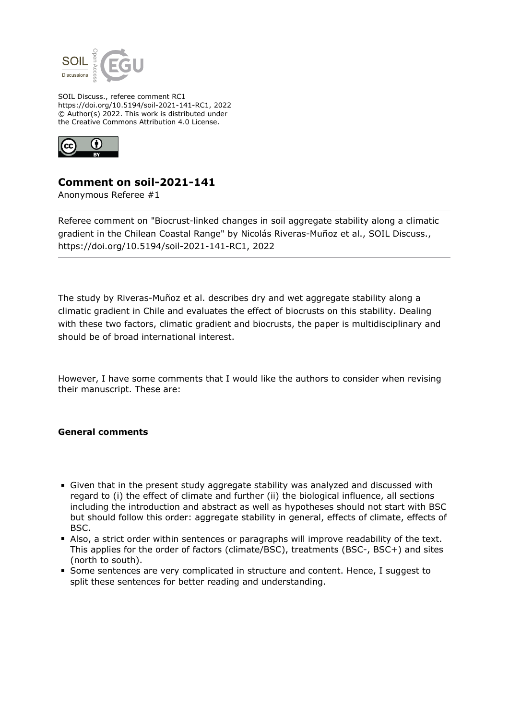

SOIL Discuss., referee comment RC1 https://doi.org/10.5194/soil-2021-141-RC1, 2022 © Author(s) 2022. This work is distributed under the Creative Commons Attribution 4.0 License.



## **Comment on soil-2021-141**

Anonymous Referee #1

Referee comment on "Biocrust-linked changes in soil aggregate stability along a climatic gradient in the Chilean Coastal Range" by Nicolás Riveras-Muñoz et al., SOIL Discuss., https://doi.org/10.5194/soil-2021-141-RC1, 2022

The study by Riveras-Muñoz et al. describes dry and wet aggregate stability along a climatic gradient in Chile and evaluates the effect of biocrusts on this stability. Dealing with these two factors, climatic gradient and biocrusts, the paper is multidisciplinary and should be of broad international interest.

However, I have some comments that I would like the authors to consider when revising their manuscript. These are:

## **General comments**

- Given that in the present study aggregate stability was analyzed and discussed with regard to (i) the effect of climate and further (ii) the biological influence, all sections including the introduction and abstract as well as hypotheses should not start with BSC but should follow this order: aggregate stability in general, effects of climate, effects of BSC.
- Also, a strict order within sentences or paragraphs will improve readability of the text. This applies for the order of factors (climate/BSC), treatments (BSC-, BSC+) and sites (north to south).
- Some sentences are very complicated in structure and content. Hence, I suggest to split these sentences for better reading and understanding.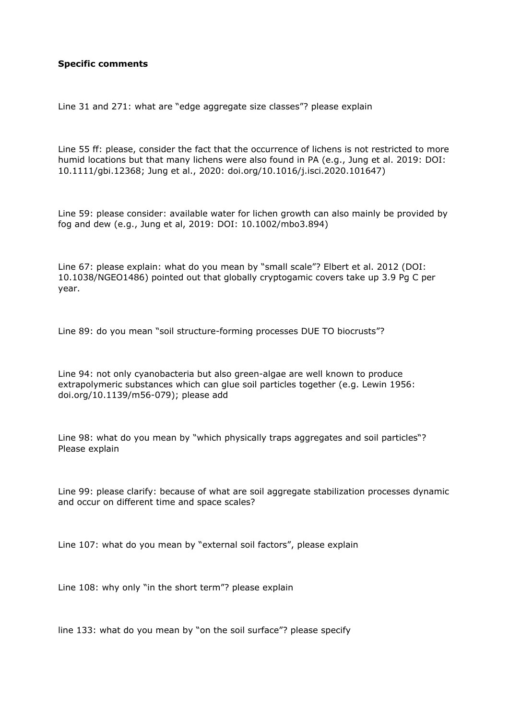## **Specific comments**

Line 31 and 271: what are "edge aggregate size classes"? please explain

Line 55 ff: please, consider the fact that the occurrence of lichens is not restricted to more humid locations but that many lichens were also found in PA (e.g., Jung et al. 2019: DOI: 10.1111/gbi.12368; Jung et al., 2020: doi.org/10.1016/j.isci.2020.101647)

Line 59: please consider: available water for lichen growth can also mainly be provided by fog and dew (e.g., Jung et al, 2019: DOI: 10.1002/mbo3.894)

Line 67: please explain: what do you mean by "small scale"? Elbert et al. 2012 (DOI: 10.1038/NGEO1486) pointed out that globally cryptogamic covers take up 3.9 Pg C per year.

Line 89: do you mean "soil structure-forming processes DUE TO biocrusts"?

Line 94: not only cyanobacteria but also green-algae are well known to produce extrapolymeric substances which can glue soil particles together (e.g. Lewin 1956: doi.org/10.1139/m56-079); please add

Line 98: what do you mean by "which physically traps aggregates and soil particles"? Please explain

Line 99: please clarify: because of what are soil aggregate stabilization processes dynamic and occur on different time and space scales?

Line 107: what do you mean by "external soil factors", please explain

Line 108: why only "in the short term"? please explain

line 133: what do you mean by "on the soil surface"? please specify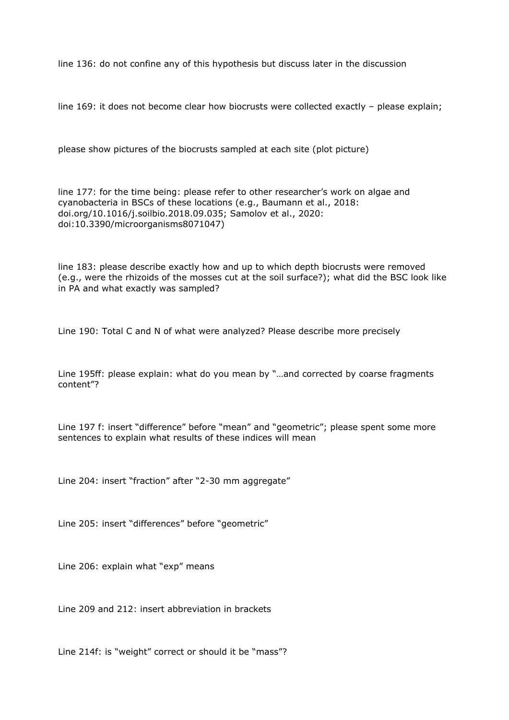line 136: do not confine any of this hypothesis but discuss later in the discussion

line 169: it does not become clear how biocrusts were collected exactly - please explain;

please show pictures of the biocrusts sampled at each site (plot picture)

line 177: for the time being: please refer to other researcher's work on algae and cyanobacteria in BSCs of these locations (e.g., Baumann et al., 2018: doi.org/10.1016/j.soilbio.2018.09.035; Samolov et al., 2020: doi:10.3390/microorganisms8071047)

line 183: please describe exactly how and up to which depth biocrusts were removed (e.g., were the rhizoids of the mosses cut at the soil surface?); what did the BSC look like in PA and what exactly was sampled?

Line 190: Total C and N of what were analyzed? Please describe more precisely

Line 195ff: please explain: what do you mean by "…and corrected by coarse fragments content"?

Line 197 f: insert "difference" before "mean" and "geometric"; please spent some more sentences to explain what results of these indices will mean

Line 204: insert "fraction" after "2-30 mm aggregate"

Line 205: insert "differences" before "geometric"

Line 206: explain what "exp" means

Line 209 and 212: insert abbreviation in brackets

Line 214f: is "weight" correct or should it be "mass"?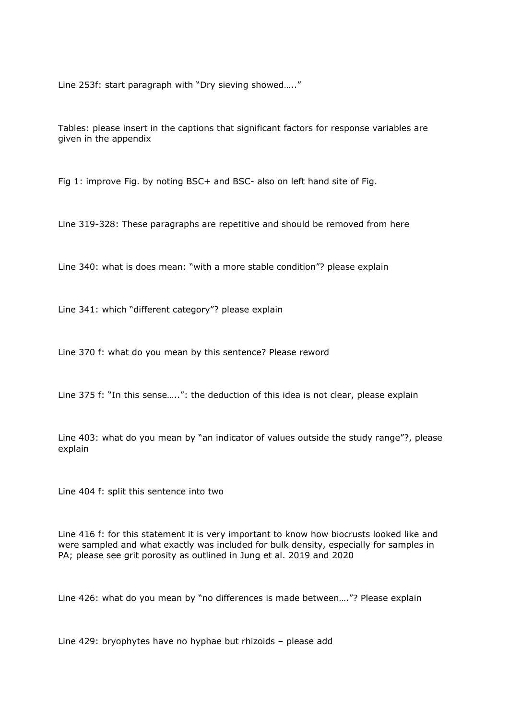Line 253f: start paragraph with "Dry sieving showed….."

Tables: please insert in the captions that significant factors for response variables are given in the appendix

Fig 1: improve Fig. by noting BSC+ and BSC- also on left hand site of Fig.

Line 319-328: These paragraphs are repetitive and should be removed from here

Line 340: what is does mean: "with a more stable condition"? please explain

Line 341: which "different category"? please explain

Line 370 f: what do you mean by this sentence? Please reword

Line 375 f: "In this sense…..": the deduction of this idea is not clear, please explain

Line 403: what do you mean by "an indicator of values outside the study range"?, please explain

Line 404 f: split this sentence into two

Line 416 f: for this statement it is very important to know how biocrusts looked like and were sampled and what exactly was included for bulk density, especially for samples in PA; please see grit porosity as outlined in Jung et al. 2019 and 2020

Line 426: what do you mean by "no differences is made between…."? Please explain

Line 429: bryophytes have no hyphae but rhizoids – please add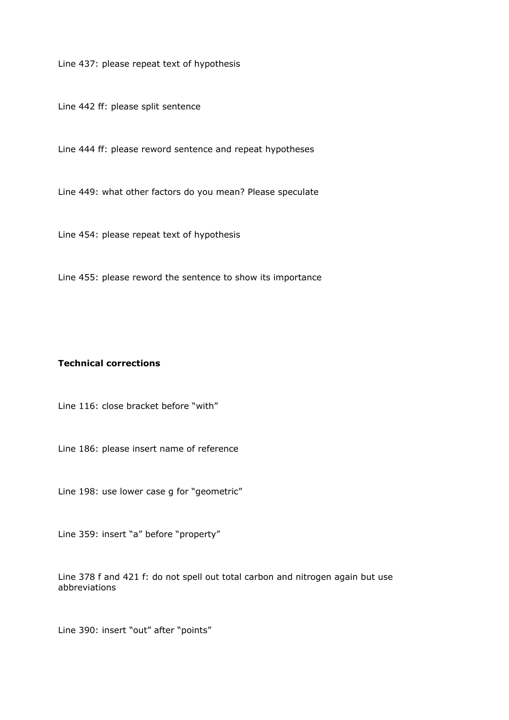Line 437: please repeat text of hypothesis

Line 442 ff: please split sentence

Line 444 ff: please reword sentence and repeat hypotheses

Line 449: what other factors do you mean? Please speculate

Line 454: please repeat text of hypothesis

Line 455: please reword the sentence to show its importance

## **Technical corrections**

Line 116: close bracket before "with"

Line 186: please insert name of reference

Line 198: use lower case g for "geometric"

Line 359: insert "a" before "property"

Line 378 f and 421 f: do not spell out total carbon and nitrogen again but use abbreviations

Line 390: insert "out" after "points"